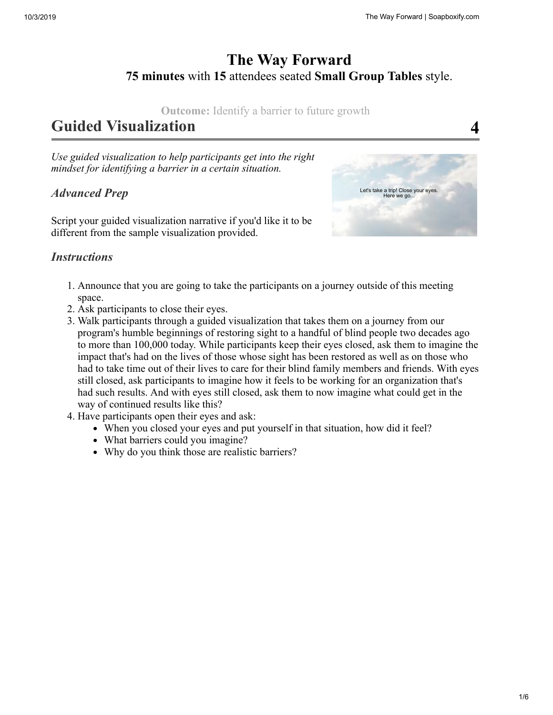## **The Way Forward 75 minutes** with **15** attendees seated **Small Group Tables** style.

#### **Outcome:** Identify a barrier to future growth

# **Guided Visualization 4**

*Use guided visualization to help participants get into the right mindset for identifying a barrier in a certain situation.*

### *Advanced Prep*

Script your guided visualization narrative if you'd like it to be different from the sample visualization provided.



- 1. Announce that you are going to take the participants on a journey outside of this meeting space.
- 2. Ask participants to close their eyes.
- 3. Walk participants through a guided visualization that takes them on a journey from our program's humble beginnings of restoring sight to a handful of blind people two decades ago to more than 100,000 today. While participants keep their eyes closed, ask them to imagine the impact that's had on the lives of those whose sight has been restored as well as on those who had to take time out of their lives to care for their blind family members and friends. With eyes still closed, ask participants to imagine how it feels to be working for an organization that's had such results. And with eyes still closed, ask them to now imagine what could get in the way of continued results like this?
- 4. Have participants open their eyes and ask:
	- When you closed your eyes and put yourself in that situation, how did it feel?
	- What barriers could you imagine?
	- Why do you think those are realistic barriers?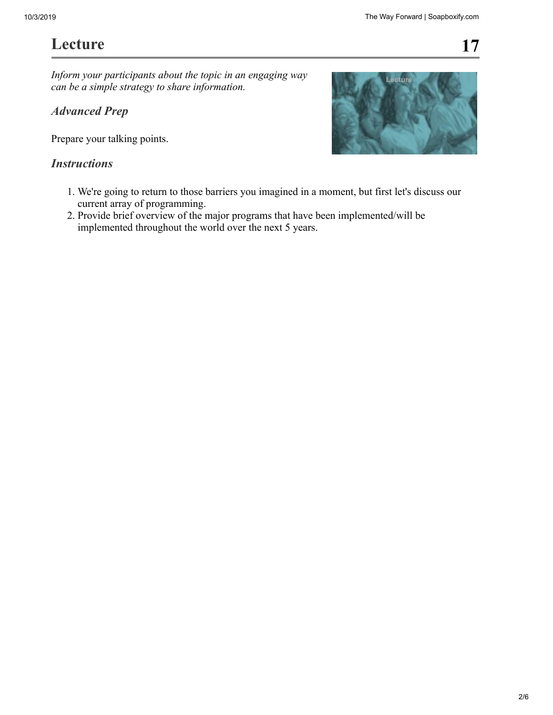# **Lecture 17**

*Inform your participants about the topic in an engaging way can be a simple strategy to share information.*

*Advanced Prep*

Prepare your talking points.

- 1. We're going to return to those barriers you imagined in a moment, but first let's discuss our current array of programming.
- 2. Provide brief overview of the major programs that have been implemented/will be implemented throughout the world over the next 5 years.

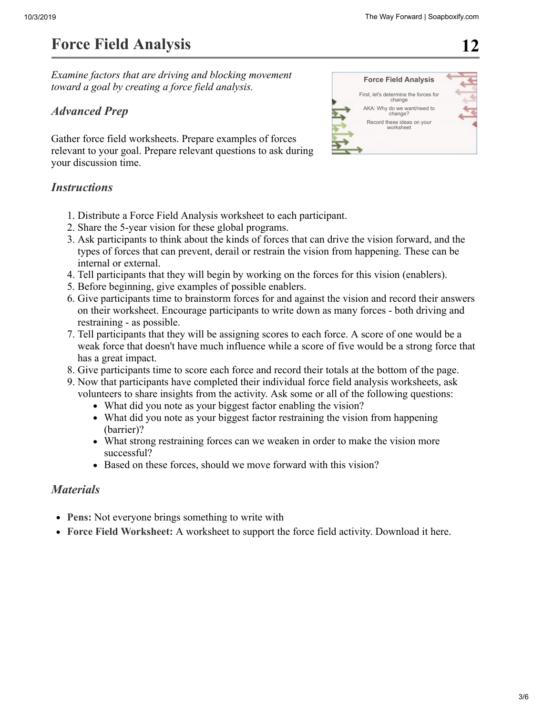# **Force Field Analysis 12**

*Examine factors that are driving and blocking movement toward a goal by creating a force field analysis.*

### *Advanced Prep*

Gather force field worksheets. Prepare examples of forces relevant to your goal. Prepare relevant questions to ask during your discussion time.

#### *Instructions*

- 1. Distribute a Force Field Analysis worksheet to each participant.
- 2. Share the 5-year vision for these global programs.
- 3. Ask participants to think about the kinds of forces that can drive the vision forward, and the types of forces that can prevent, derail or restrain the vision from happening. These can be internal or external.
- 4. Tell participants that they will begin by working on the forces for this vision (enablers).
- 5. Before beginning, give examples of possible enablers.
- 6. Give participants time to brainstorm forces for and against the vision and record their answers on their worksheet. Encourage participants to write down as many forces - both driving and restraining - as possible.
- 7. Tell participants that they will be assigning scores to each force. A score of one would be a weak force that doesn't have much influence while a score of five would be a strong force that has a great impact.
- 8. Give participants time to score each force and record their totals at the bottom of the page.
- 9. Now that participants have completed their individual force field analysis worksheets, ask volunteers to share insights from the activity. Ask some or all of the following questions:
	- What did you note as your biggest factor enabling the vision?
	- What did you note as your biggest factor restraining the vision from happening (barrier)?
	- What strong restraining forces can we weaken in order to make the vision more successful?
	- Based on these forces, should we move forward with this vision?

#### *Materials*

- **Pens:** Not everyone brings something to write with
- **Force Field Worksheet:** A worksheet to support the force field activity. Download it here.

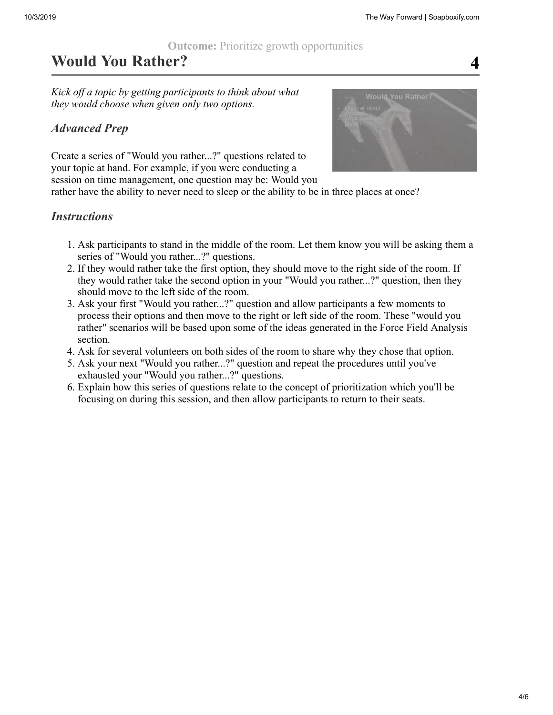#### **Outcome:** Prioritize growth opportunities

# **Would You Rather? 4**

*Kick off a topic by getting participants to think about what they would choose when given only two options.*

### *Advanced Prep*

Create a series of "Would you rather...?" questions related to your topic at hand. For example, if you were conducting a session on time management, one question may be: Would you



rather have the ability to never need to sleep or the ability to be in three places at once?

- 1. Ask participants to stand in the middle of the room. Let them know you will be asking them a series of "Would you rather...?" questions.
- 2. If they would rather take the first option, they should move to the right side of the room. If they would rather take the second option in your "Would you rather...?" question, then they should move to the left side of the room.
- 3. Ask your first "Would you rather...?" question and allow participants a few moments to process their options and then move to the right or left side of the room. These "would you rather" scenarios will be based upon some of the ideas generated in the Force Field Analysis section.
- 4. Ask for several volunteers on both sides of the room to share why they chose that option.
- 5. Ask your next "Would you rather...?" question and repeat the procedures until you've exhausted your "Would you rather...?" questions.
- 6. Explain how this series of questions relate to the concept of prioritization which you'll be focusing on during this session, and then allow participants to return to their seats.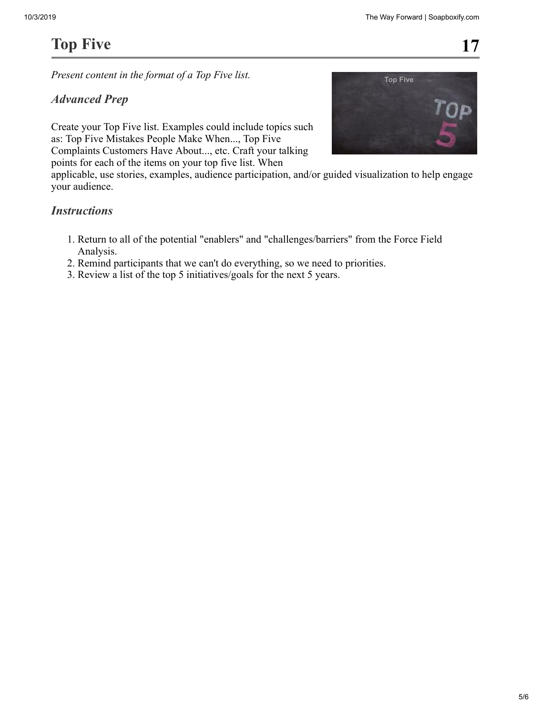*Present content in the format of a Top Five list.*

### *Advanced Prep*

Create your Top Five list. Examples could include topics such as: Top Five Mistakes People Make When..., Top Five Complaints Customers Have About..., etc. Craft your talking points for each of the items on your top five list. When



applicable, use stories, examples, audience participation, and/or guided visualization to help engage your audience.

- 1. Return to all of the potential "enablers" and "challenges/barriers" from the Force Field Analysis.
- 2. Remind participants that we can't do everything, so we need to priorities.
- 3. Review a list of the top 5 initiatives/goals for the next 5 years.